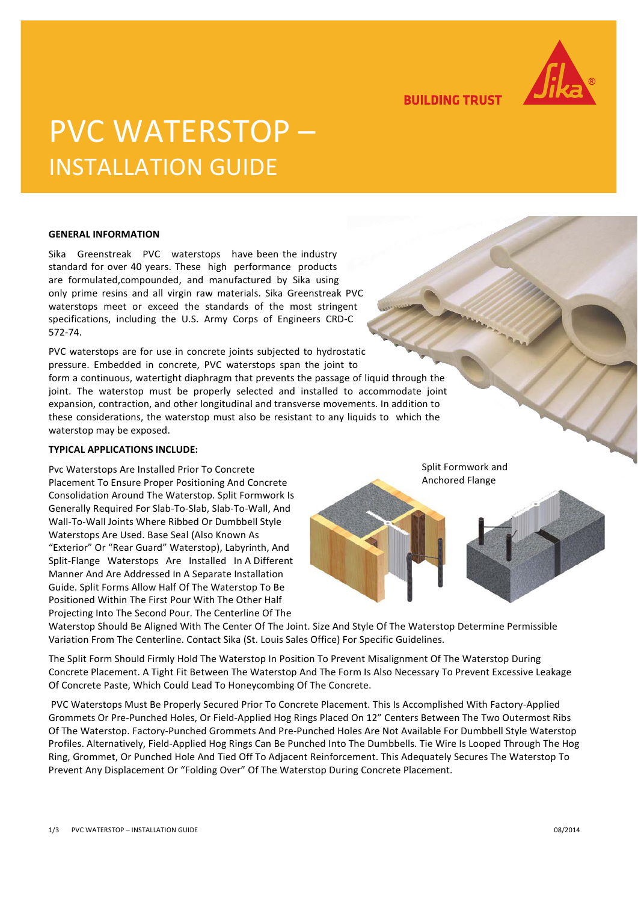

**BUILDING TRUST** 

# PVC WATERSTOP – INSTALLATION GUIDE

#### **GENERAL INFORMATION**

Sika Greenstreak PVC waterstops have been the industry standard for over 40 years. These high performance products are formulated,compounded, and manufactured by Sika using only prime resins and all virgin raw materials. Sika Greenstreak PVC waterstops meet or exceed the standards of the most stringent specifications, including the U.S. Army Corps of Engineers CRD-C 572-74.

PVC waterstops are for use in concrete joints subjected to hydrostatic pressure. Embedded in concrete, PVC waterstops span the joint to form a continuous, watertight diaphragm that prevents the passage of liquid through the joint. The waterstop must be properly selected and installed to accommodate joint expansion, contraction, and other longitudinal and transverse movements. In addition to these considerations, the waterstop must also be resistant to any liquids to which the waterstop may be exposed.

#### **TYPICAL APPLICATIONS INCLUDE:**

Pvc Waterstops Are Installed Prior To Concrete Placement To Ensure Proper Positioning And Concrete Consolidation Around The Waterstop. Split Formwork Is Generally Required For Slab-To-Slab, Slab-To-Wall, And Wall-To-Wall Joints Where Ribbed Or Dumbbell Style Waterstops Are Used. Base Seal (Also Known As "Exterior" Or "Rear Guard" Waterstop), Labyrinth, And Split-Flange Waterstops Are Installed In A Different Manner And Are Addressed In A Separate Installation Guide. Split Forms Allow Half Of The Waterstop To Be Positioned Within The First Pour With The Other Half Projecting Into The Second Pour. The Centerline Of The

Split Formwork and Anchored Flange

Waterstop Should Be Aligned With The Center Of The Joint. Size And Style Of The Waterstop Determine Permissible Variation From The Centerline. Contact Sika (St. Louis Sales Office) For Specific Guidelines.

The Split Form Should Firmly Hold The Waterstop In Position To Prevent Misalignment Of The Waterstop During Concrete Placement. A Tight Fit Between The Waterstop And The Form Is Also Necessary To Prevent Excessive Leakage Of Concrete Paste, Which Could Lead To Honeycombing Of The Concrete.

PVC Waterstops Must Be Properly Secured Prior To Concrete Placement. This Is Accomplished With Factory-Applied Grommets Or Pre-Punched Holes, Or Field-Applied Hog Rings Placed On 12" Centers Between The Two Outermost Ribs Of The Waterstop. Factory-Punched Grommets And Pre-Punched Holes Are Not Available For Dumbbell Style Waterstop Profiles. Alternatively, Field-Applied Hog Rings Can Be Punched Into The Dumbbells. Tie Wire Is Looped Through The Hog Ring, Grommet, Or Punched Hole And Tied Off To Adjacent Reinforcement. This Adequately Secures The Waterstop To Prevent Any Displacement Or "Folding Over" Of The Waterstop During Concrete Placement.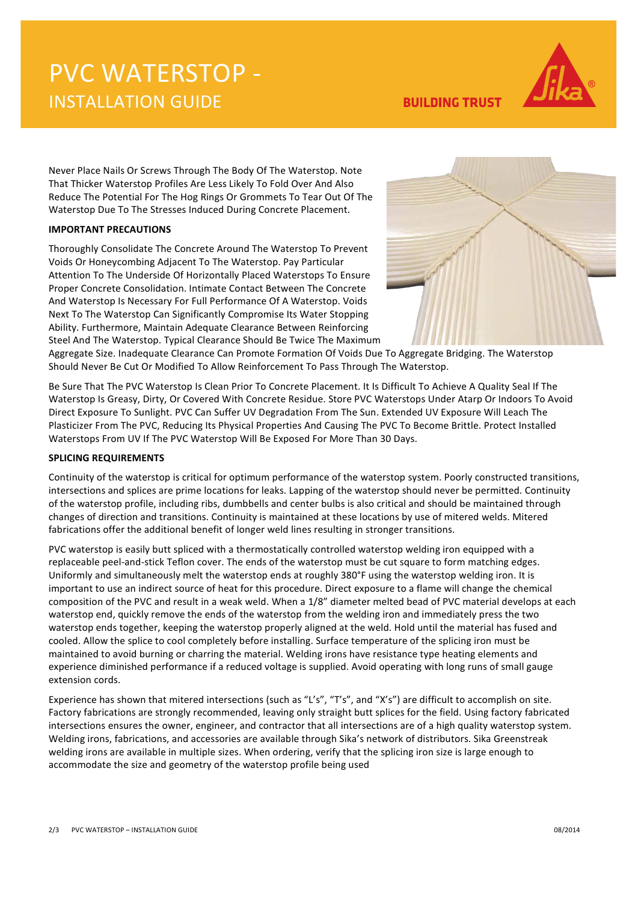## PVC WATERSTOP - INSTALLATION GUIDE



**BUILDING TRUST** 

Never Place Nails Or Screws Through The Body Of The Waterstop. Note That Thicker Waterstop Profiles Are Less Likely To Fold Over And Also Reduce The Potential For The Hog Rings Or Grommets To Tear Out Of The Waterstop Due To The Stresses Induced During Concrete Placement.

### **IMPORTANT PRECAUTIONS**

Thoroughly Consolidate The Concrete Around The Waterstop To Prevent Voids Or Honeycombing Adjacent To The Waterstop. Pay Particular Attention To The Underside Of Horizontally Placed Waterstops To Ensure Proper Concrete Consolidation. Intimate Contact Between The Concrete And Waterstop Is Necessary For Full Performance Of A Waterstop. Voids Next To The Waterstop Can Significantly Compromise Its Water Stopping Ability. Furthermore, Maintain Adequate Clearance Between Reinforcing Steel And The Waterstop. Typical Clearance Should Be Twice The Maximum



Aggregate Size. Inadequate Clearance Can Promote Formation Of Voids Due To Aggregate Bridging. The Waterstop Should Never Be Cut Or Modified To Allow Reinforcement To Pass Through The Waterstop.

Be Sure That The PVC Waterstop Is Clean Prior To Concrete Placement. It Is Difficult To Achieve A Quality Seal If The Waterstop Is Greasy, Dirty, Or Covered With Concrete Residue. Store PVC Waterstops Under Atarp Or Indoors To Avoid Direct Exposure To Sunlight. PVC Can Suffer UV Degradation From The Sun. Extended UV Exposure Will Leach The Plasticizer From The PVC, Reducing Its Physical Properties And Causing The PVC To Become Brittle. Protect Installed Waterstops From UV If The PVC Waterstop Will Be Exposed For More Than 30 Days.

### **SPLICING REQUIREMENTS**

Continuity of the waterstop is critical for optimum performance of the waterstop system. Poorly constructed transitions, intersections and splices are prime locations for leaks. Lapping of the waterstop should never be permitted. Continuity of the waterstop profile, including ribs, dumbbells and center bulbs is also critical and should be maintained through changes of direction and transitions. Continuity is maintained at these locations by use of mitered welds. Mitered fabrications offer the additional benefit of longer weld lines resulting in stronger transitions.

PVC waterstop is easily butt spliced with a thermostatically controlled waterstop welding iron equipped with a replaceable peel-and-stick Teflon cover. The ends of the waterstop must be cut square to form matching edges. Uniformly and simultaneously melt the waterstop ends at roughly 380°F using the waterstop welding iron. It is important to use an indirect source of heat for this procedure. Direct exposure to a flame will change the chemical composition of the PVC and result in a weak weld. When a 1/8" diameter melted bead of PVC material develops at each waterstop end, quickly remove the ends of the waterstop from the welding iron and immediately press the two waterstop ends together, keeping the waterstop properly aligned at the weld. Hold until the material has fused and cooled. Allow the splice to cool completely before installing. Surface temperature of the splicing iron must be maintained to avoid burning or charring the material. Welding irons have resistance type heating elements and experience diminished performance if a reduced voltage is supplied. Avoid operating with long runs of small gauge extension cords.

Experience has shown that mitered intersections (such as "L's", "T's", and "X's") are difficult to accomplish on site. Factory fabrications are strongly recommended, leaving only straight butt splices for the field. Using factory fabricated intersections ensures the owner, engineer, and contractor that all intersections are of a high quality waterstop system. Welding irons, fabrications, and accessories are available through Sika's network of distributors. Sika Greenstreak welding irons are available in multiple sizes. When ordering, verify that the splicing iron size is large enough to accommodate the size and geometry of the waterstop profile being used